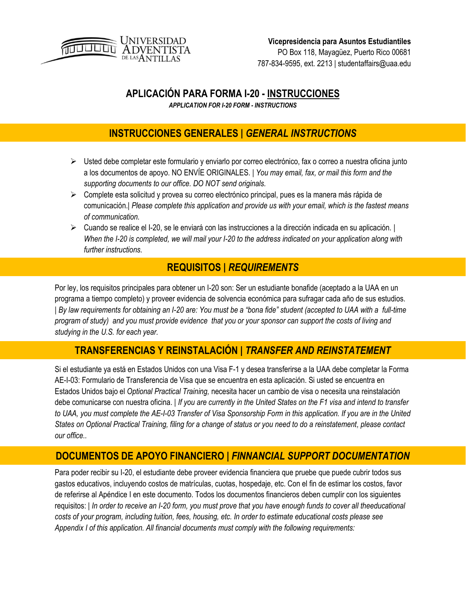

## **APLICACIÓN PARA FORMA I-20 - INSTRUCCIONES**

*APPLICATION FOR I-20 FORM - INSTRUCTIONS*

## **INSTRUCCIONES GENERALES |** *GENERAL INSTRUCTIONS*

- $\triangleright$  Usted debe completar este formulario y enviarlo por correo electrónico, fax o correo a nuestra oficina junto a los documentos de apoyo. NO ENVÍE ORIGINALES. | *You may email, fax, or mail this form and the supporting documents to our office. DO NOT send originals.*
- $\triangleright$  Complete esta solicitud y provea su correo electrónico principal, pues es la manera más rápida de comunicación.| *Please complete this application and provide us with your email, which is the fastest means of communication.*
- $\triangleright$  Cuando se realice el I-20, se le enviará con las instrucciones a la dirección indicada en su aplicación. | *When the I-20 is completed, we will mail your I-20 to the address indicated on your application along with further instructions.*

## **REQUISITOS |** *REQUIREMENTS*

Por ley, los requisitos principales para obtener un I-20 son: Ser un estudiante bonafide (aceptado a la UAA en un programa a tiempo completo) y proveer evidencia de solvencia económica para sufragar cada año de sus estudios. | *By law requirements for obtaining an I-20 are: You must be a "bona fide" student (accepted to UAA with a full-time program of study) and you must provide evidence that you or your sponsor can support the costs of living and studying in the U.S. for each year.*

## **TRANSFERENCIAS Y REINSTALACIÓN |** *TRANSFER AND REINSTATEMENT*

Si el estudiante ya está en Estados Unidos con una Visa F-1 y desea transferirse a la UAA debe completar la Forma AE-I-03: Formulario de Transferencia de Visa que se encuentra en esta aplicación. Si usted se encuentra en Estados Unidos bajo el *Optional Practical Training,* necesita hacer un cambio de visa o necesita una reinstalación debe comunicarse con nuestra oficina. | *If you are currently in the United States on the F1 visa and intend to transfer to UAA, you must complete the AE-I-03 Transfer of Visa Sponsorship Form in this application. If you are in the United States on Optional Practical Training, filing for a change of status or you need to do a reinstatement, please contact our office..*

## **DOCUMENTOS DE APOYO FINANCIERO |** *FINNANCIAL SUPPORT DOCUMENTATION*

Para poder recibir su I-20, el estudiante debe proveer evidencia financiera que pruebe que puede cubrir todos sus gastos educativos, incluyendo costos de matrículas, cuotas, hospedaje, etc. Con el fin de estimar los costos, favor de referirse al Apéndice I en este documento. Todos los documentos financieros deben cumplir con los siguientes requisitos: | *In order to receive an I-20 form, you must prove that you have enough funds to cover all theeducational costs of your program, including tuition, fees, housing, etc. In order to estimate educational costs please see Appendix I of this application. All financial documents must comply with the following requirements:*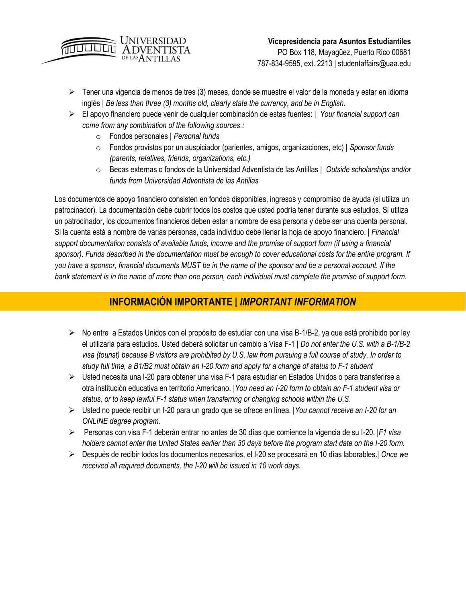

PO Box 118, Mayagüez, Puerto Rico 00681 787-834-9595, ext. 2213 | studentaffairs@uaa.edu

- $\triangleright$  Tener una vigencia de menos de tres (3) meses, donde se muestre el valor de la moneda y estar en idioma inglés | *Be less than three (3) months old, clearly state the currency, and be in English.*
- El apoyo financiero puede venir de cualquier combinación de estas fuentes: | *Your financial support can come from any combination of the following sources :*
	- o Fondos personales | *Personal funds*
	- o Fondos provistos por un auspiciador (parientes, amigos, organizaciones, etc) | *Sponsor funds (parents, relatives, friends, organizations, etc.)*
	- o Becas externas o fondos de la Universidad Adventista de las Antillas | *Outside scholarships and/or funds from Universidad Adventista de las Antillas*

Los documentos de apoyo financiero consisten en fondos disponibles, ingresos y compromiso de ayuda (si utiliza un patrocinador). La documentación debe cubrir todos los costos que usted podría tener durante sus estudios. Si utiliza un patrocinador, los documentos financieros deben estar a nombre de esa persona y debe ser una cuenta personal. Si la cuenta está a nombre de varias personas, cada individuo debe llenar la hoja de apoyo financiero. | *Financial support documentation consists of available funds, income and the promise of support form (if using a financial sponsor). Funds described in the documentation must be enough to cover educational costs for the entire program. If you have a sponsor, financial documents MUST be in the name of the sponsor and be a personal account. If the bank statement is in the name of more than one person, each individual must complete the promise of support form.*

## **INFORMACIÓN IMPORTANTE |** *IMPORTANT INFORMATION*

- $\triangleright$  No entre a Estados Unidos con el propósito de estudiar con una visa B-1/B-2, ya que está prohibido por ley el utilizarla para estudios. Usted deberá solicitar un cambio a Visa F-1 | *Do not enter the U.S. with a B-1/B-2 visa (tourist) because B visitors are prohibited by U.S. law from pursuing a full course of study. In order to study full time, a B1/B2 must obtain an I-20 form and apply for a change of status to F-1 student*
- $\triangleright$  Usted necesita una I-20 para obtener una visa F-1 para estudiar en Estados Unidos o para transferirse a otra institución educativa en territorio Americano. |*You need an I-20 form to obtain an F-1 student visa or status, or to keep lawful F-1 status when transferring or changing schools within the U.S*.
- Usted no puede recibir un I-20 para un grado que se ofrece en línea. |*You cannot receive an I-20 for an ONLINE degree program.*
- Personas con visa F-1 deberán entrar no antes de 30 días que comience la vigencia de su I-20. |*F1 visa holders cannot enter the United States earlier than 30 days before the program start date on the I-20 form.*
- Después de recibir todos los documentos necesarios, el I-20 se procesará en 10 días laborables.*| Once we received all required documents, the I-20 will be issued in 10 work days.*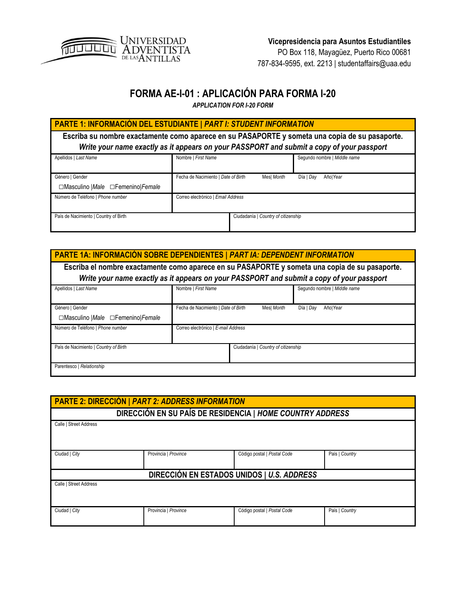

PO Box 118, Mayagüez, Puerto Rico 00681 787-834-9595, ext. 2213 | studentaffairs@uaa.edu

## **FORMA AE-I-01 : APLICACIÓN PARA FORMA I-20**

*APPLICATION FOR I-20 FORM*

| PARTE 1: INFORMACIÓN DEL ESTUDIANTE   PART I: STUDENT INFORMATION                                                                                                                           |                                     |            |                              |  |
|---------------------------------------------------------------------------------------------------------------------------------------------------------------------------------------------|-------------------------------------|------------|------------------------------|--|
| Escriba su nombre exactamente como aparece en su PASAPORTE y someta una copia de su pasaporte.<br>Write your name exactly as it appears on your PASSPORT and submit a copy of your passport |                                     |            |                              |  |
|                                                                                                                                                                                             |                                     |            |                              |  |
| Apellidos   Last Name                                                                                                                                                                       | Nombre   First Name                 |            | Sequndo nombre   Middle name |  |
|                                                                                                                                                                                             |                                     |            |                              |  |
| Género   Gender                                                                                                                                                                             | Fecha de Nacimiento   Date of Birth | Mes  Month | Día I Dav<br>Añol Year       |  |
| □Masculino   Male □ Femenino   Female                                                                                                                                                       |                                     |            |                              |  |
| Número de Teléfono   Phone number                                                                                                                                                           | Correo electrónico   Email Address  |            |                              |  |
|                                                                                                                                                                                             |                                     |            |                              |  |
| País de Nacimiento   Country of Birth                                                                                                                                                       | Ciudadanía   Country of citizenship |            |                              |  |
|                                                                                                                                                                                             |                                     |            |                              |  |

| PARTE 1A: INFORMACIÓN SOBRE DEPENDIENTES   PART IA: DEPENDENT INFORMATION                      |                                     |            |                                                                                           |  |
|------------------------------------------------------------------------------------------------|-------------------------------------|------------|-------------------------------------------------------------------------------------------|--|
| Escriba el nombre exactamente como aparece en su PASAPORTE y someta una copia de su pasaporte. |                                     |            |                                                                                           |  |
|                                                                                                |                                     |            | Write your name exactly as it appears on your PASSPORT and submit a copy of your passport |  |
| Apellidos   Last Name                                                                          | Nombre   First Name                 |            | Segundo nombre   Middle name                                                              |  |
| Género   Gender                                                                                | Fecha de Nacimiento   Date of Birth | Mes  Month | Día   Day<br>Añol Year                                                                    |  |
| □Masculino   Male □ Femenino   Female                                                          |                                     |            |                                                                                           |  |
| Número de Teléfono   Phone number                                                              | Correo electrónico   E-mail Address |            |                                                                                           |  |
| País de Nacimiento   Country of Birth                                                          | Ciudadanía   Country of citizenship |            |                                                                                           |  |
| Parentesco   Relationship                                                                      |                                     |            |                                                                                           |  |

| <b>PARTE 2: DIRECCIÓN   PART 2: ADDRESS INFORMATION</b> |                                                           |                             |                |  |  |
|---------------------------------------------------------|-----------------------------------------------------------|-----------------------------|----------------|--|--|
|                                                         | DIRECCIÓN EN SU PAÍS DE RESIDENCIA   HOME COUNTRY ADDRESS |                             |                |  |  |
| Calle   Street Address                                  |                                                           |                             |                |  |  |
|                                                         |                                                           |                             |                |  |  |
|                                                         |                                                           |                             |                |  |  |
| Ciudad   City                                           | Provincia   Province                                      | Código postal   Postal Code | País   Country |  |  |
|                                                         |                                                           |                             |                |  |  |
| DIRECCIÓN EN ESTADOS UNIDOS   U.S. ADDRESS              |                                                           |                             |                |  |  |
| Calle   Street Address                                  |                                                           |                             |                |  |  |
|                                                         |                                                           |                             |                |  |  |
| Ciudad   City                                           | Provincia   Province                                      | Código postal   Postal Code | País   Country |  |  |
|                                                         |                                                           |                             |                |  |  |
|                                                         |                                                           |                             |                |  |  |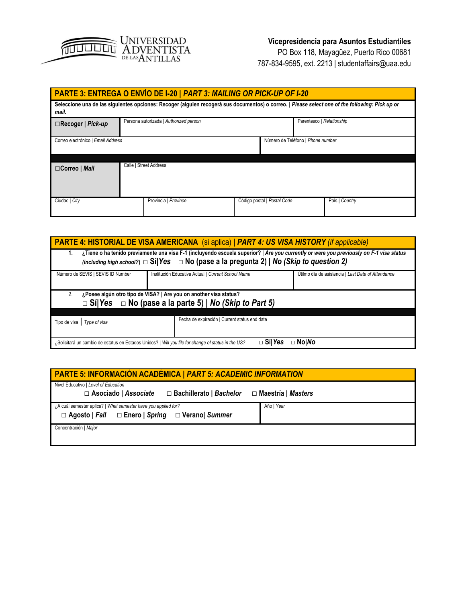

PO Box 118, Mayagüez, Puerto Rico 00681 787-834-9595, ext. 2213 | studentaffairs@uaa.edu

| PARTE 3: ENTREGA O ENVÍO DE I-20   PART 3: MAILING OR PICK-UP OF I-20                                                                                    |  |                                        |  |                             |                           |                |
|----------------------------------------------------------------------------------------------------------------------------------------------------------|--|----------------------------------------|--|-----------------------------|---------------------------|----------------|
| Seleccione una de las siguientes opciones: Recoger (alguien recogerá sus documentos) o correo.   Please select one of the following: Pick up or<br>mail. |  |                                        |  |                             |                           |                |
| $\Box$ Recoger   Pick-up                                                                                                                                 |  | Persona autorizada   Authorized person |  |                             | Parentesco   Relationship |                |
| Correo electrónico   Email Address<br>Número de Teléfono   Phone number                                                                                  |  |                                        |  |                             |                           |                |
|                                                                                                                                                          |  |                                        |  |                             |                           |                |
| $\Box$ Correo   Mail                                                                                                                                     |  | Calle   Street Address                 |  |                             |                           |                |
| Ciudad   City                                                                                                                                            |  | Provincia   Province                   |  | Código postal   Postal Code |                           | País   Country |

| <b>PARTE 4: HISTORIAL DE VISA AMERICANA</b> (si aplica)   PART 4: US VISA HISTORY (if applicable)                                                                                                                                                  |  |  |  |  |
|----------------------------------------------------------------------------------------------------------------------------------------------------------------------------------------------------------------------------------------------------|--|--|--|--|
| ¿Tiene o ha tenido previamente una visa F-1 (incluyendo escuela superior?   Are you currently or were you previously on F-1 visa status<br>1.<br>(including high school?) $\Box$ Si Yes $\Box$ No (pase a la pregunta 2)   No (Skip to question 2) |  |  |  |  |
| Número de SEVIS   SEVIS ID Number<br>Institución Educativa Actual   Current School Name<br>Útilmo día de asistencia   Last Date of Attendance                                                                                                      |  |  |  |  |
| ¿Posee algún otro tipo de VISA?   Are you on another visa status?<br>2.<br>$\Box$ Sí Yes $\Box$ No (pase a la parte 5)   No (Skip to Part 5)                                                                                                       |  |  |  |  |
| Fecha de expiración   Current status end date<br>Tipo de visa $\int$ Type of visa                                                                                                                                                                  |  |  |  |  |
| $\Box$ Nol $\mathcal N$ o<br>$\Box$ Síl Yes<br>¿Solicitará un cambio de estatus en Estados Unidos?   Will you file for change of status in the US?                                                                                                 |  |  |  |  |

| <b>PARTE 5: INFORMACIÓN ACADÉMICA   PART 5: ACADEMIC INFORMATION</b>                                                               |            |
|------------------------------------------------------------------------------------------------------------------------------------|------------|
| Nivel Educativo   Level of Education                                                                                               |            |
| $\Box$ Asociado   Associate $\Box$ Bachillerato   Bachelor $\Box$ Maestria   Masters                                               |            |
| ¿A cuál semester aplica?   What semester have you applied for?<br>$\Box$ Agosto   Fall $\Box$ Enero   Spring $\Box$ Verano  Summer | Año   Year |
| Concentración   Major                                                                                                              |            |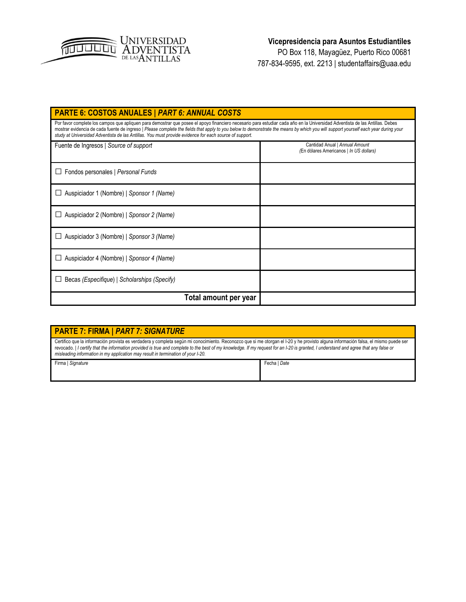

PO Box 118, Mayagüez, Puerto Rico 00681 787-834-9595, ext. 2213 | studentaffairs@uaa.edu

| <b>PARTE 6: COSTOS ANUALES   PART 6: ANNUAL COSTS</b>                                                                                                                                                                                                                                                                                                                                                                                                                        |                                                                           |  |  |
|------------------------------------------------------------------------------------------------------------------------------------------------------------------------------------------------------------------------------------------------------------------------------------------------------------------------------------------------------------------------------------------------------------------------------------------------------------------------------|---------------------------------------------------------------------------|--|--|
| Por favor complete los campos que apliquen para demostrar que posee el apoyo financiero necesario para estudiar cada año en la Universidad Adventista de las Antillas. Debes<br>mostrar evidencia de cada fuente de ingreso   Please complete the fields that apply to you below to demonstrate the means by which you will support yourself each year during your<br>study at Universidad Adventista de las Antillas. You must provide evidence for each source of support. |                                                                           |  |  |
| Fuente de Ingresos   Source of support                                                                                                                                                                                                                                                                                                                                                                                                                                       | Cantidad Anual   Annual Amount<br>(En dólares Americanos   In US dollars) |  |  |
| Fondos personales   Personal Funds                                                                                                                                                                                                                                                                                                                                                                                                                                           |                                                                           |  |  |
| Auspiciador 1 (Nombre)   Sponsor 1 (Name)                                                                                                                                                                                                                                                                                                                                                                                                                                    |                                                                           |  |  |
| Auspiciador 2 (Nombre)   Sponsor 2 (Name)                                                                                                                                                                                                                                                                                                                                                                                                                                    |                                                                           |  |  |
| Auspiciador 3 (Nombre)   Sponsor 3 (Name)                                                                                                                                                                                                                                                                                                                                                                                                                                    |                                                                           |  |  |
| Auspiciador 4 (Nombre)   Sponsor 4 (Name)                                                                                                                                                                                                                                                                                                                                                                                                                                    |                                                                           |  |  |
| Becas (Especifique)   Scholarships (Specify)                                                                                                                                                                                                                                                                                                                                                                                                                                 |                                                                           |  |  |
| Total amount per year                                                                                                                                                                                                                                                                                                                                                                                                                                                        |                                                                           |  |  |

| PARTE 7: FIRMA   <i>PART 7: SIGNATURE</i>                                                                                                                                                                                                                                                                                                                                                                                                                       |              |
|-----------------------------------------------------------------------------------------------------------------------------------------------------------------------------------------------------------------------------------------------------------------------------------------------------------------------------------------------------------------------------------------------------------------------------------------------------------------|--------------|
| Certifico que la información provista es verdadera y completa según mi conocimiento. Reconozco que si me otorgan el I-20 y he provisto alguna información falsa, el mismo puede ser<br>revocado.   I certify that the information provided is true and complete to the best of my knowledge. If my request for an I-20 is granted, I understand and agree that any false or<br>misleading information in my application may result in termination of your I-20. |              |
| Firma   Signature                                                                                                                                                                                                                                                                                                                                                                                                                                               | Fecha   Date |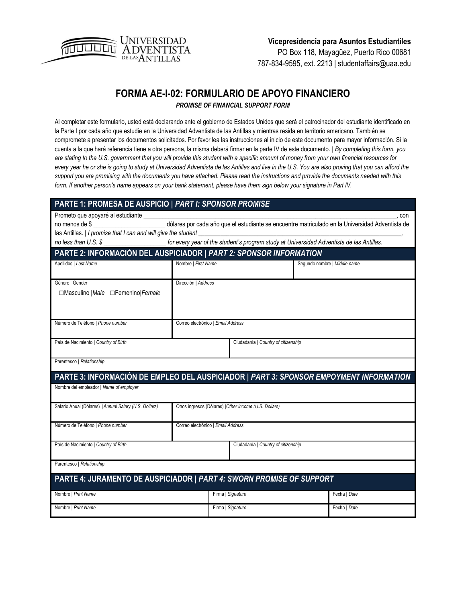

PO Box 118, Mayagüez, Puerto Rico 00681 787-834-9595, ext. 2213 | studentaffairs@uaa.edu

## **FORMA AE-I-02: FORMULARIO DE APOYO FINANCIERO**

*PROMISE OF FINANCIAL SUPPORT FORM*

Al completar este formulario, usted está declarando ante el gobierno de Estados Unidos que será el patrocinador del estudiante identificado en la Parte I por cada año que estudie en la Universidad Adventista de las Antillas y mientras resida en territorio americano. También se compromete a presentar los documentos solicitados. Por favor lea las instrucciones al inicio de este documento para mayor información. Si la cuenta a la que hará referencia tiene a otra persona, la misma deberá firmar en la parte IV de este documento. | *By completing this form, you are stating to the U.S. government that you will provide this student with a specific amount of money from your own financial resources for*  every year he or she is going to study at Universidad Adventista de las Antillas and live in the U.S. You are also proving that you can afford the *support you are promising with the documents you have attached. Please read the instructions and provide the documents needed with this form. If another person's name appears on your bank statement, please have them sign below your signature in Part IV.*

| PARTE 1: PROMESA DE AUSPICIO   PART I: SPONSOR PROMISE                                                                                 |                                    |                                                        |                              |
|----------------------------------------------------------------------------------------------------------------------------------------|------------------------------------|--------------------------------------------------------|------------------------------|
| Prometo que apoyaré al estudiante _________                                                                                            |                                    |                                                        | con                          |
| no menos de \$<br>160 de maio de xercidade por cada año que el estudiante se encuentre matriculado en la Universidad Adventista de     |                                    |                                                        |                              |
| las Antillas.   I promise that I can and will give the student                                                                         |                                    |                                                        |                              |
| no less than U.S. \$ ________________________ for every year of the student's program study at Universidad Adventista de las Antillas. |                                    |                                                        |                              |
| PARTE 2: INFORMACIÓN DEL AUSPICIADOR   PART 2: SPONSOR INFORMATION                                                                     |                                    |                                                        |                              |
| Apellidos   Last Name                                                                                                                  | Nombre   First Name                |                                                        | Segundo nombre   Middle name |
|                                                                                                                                        |                                    |                                                        |                              |
| Género   Gender                                                                                                                        | Dirección   Address                |                                                        |                              |
| □Masculino   Male □ Femenino   Female                                                                                                  |                                    |                                                        |                              |
|                                                                                                                                        |                                    |                                                        |                              |
|                                                                                                                                        |                                    |                                                        |                              |
| Número de Teléfono   Phone number                                                                                                      | Correo electrónico   Email Address |                                                        |                              |
|                                                                                                                                        |                                    |                                                        |                              |
| País de Nacimiento   Country of Birth                                                                                                  |                                    | Ciudadanía   Country of citizenship                    |                              |
|                                                                                                                                        |                                    |                                                        |                              |
| Parentesco   Relationship                                                                                                              |                                    |                                                        |                              |
| PARTE 3: INFORMACIÓN DE EMPLEO DEL AUSPICIADOR   PART 3: SPONSOR EMPOYMENT INFORMATION                                                 |                                    |                                                        |                              |
| Nombre del empleador   Name of employer                                                                                                |                                    |                                                        |                              |
|                                                                                                                                        |                                    |                                                        |                              |
| Salario Anual (Dólares)   Annual Salary (U.S. Dollars)                                                                                 |                                    | Otros ingresos (Dólares)   Other income (U.S. Dollars) |                              |
|                                                                                                                                        |                                    |                                                        |                              |
| Número de Teléfono   Phone number                                                                                                      | Correo electrónico   Email Address |                                                        |                              |
|                                                                                                                                        |                                    |                                                        |                              |
| País de Nacimiento   Country of Birth                                                                                                  |                                    | Ciudadanía   Country of citizenship                    |                              |
| Parentesco   Relationship                                                                                                              |                                    |                                                        |                              |
|                                                                                                                                        |                                    |                                                        |                              |
| PARTE 4: JURAMENTO DE AUSPICIADOR   PART 4: SWORN PROMISE OF SUPPORT                                                                   |                                    |                                                        |                              |
| Nombre   Print Name                                                                                                                    |                                    | Firma   Signature                                      | Fecha   Date                 |
| Nombre   Print Name                                                                                                                    |                                    | Firma   Signature                                      | Fecha   Date                 |
|                                                                                                                                        |                                    |                                                        |                              |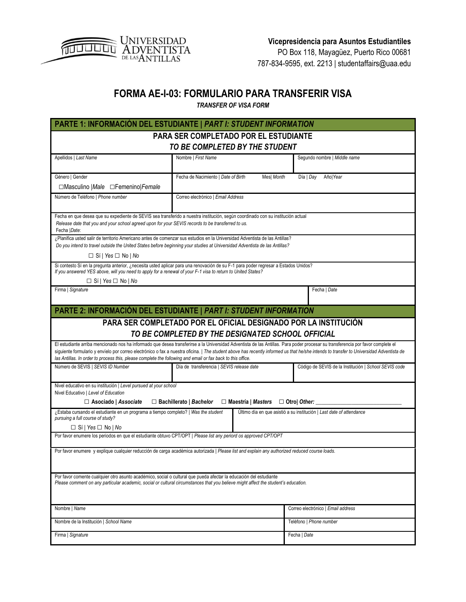

PO Box 118, Mayagüez, Puerto Rico 00681 787-834-9595, ext. 2213 | studentaffairs@uaa.edu

## **FORMA AE-I-03: FORMULARIO PARA TRANSFERIR VISA**

*TRANSFER OF VISA FORM*

|                                                                                                                                                                                                                                                                                                | PARTE 1: INFORMACIÓN DEL ESTUDIANTE   PART I: STUDENT INFORMATION |                                               |                                                                                                                                                                                          |  |  |  |
|------------------------------------------------------------------------------------------------------------------------------------------------------------------------------------------------------------------------------------------------------------------------------------------------|-------------------------------------------------------------------|-----------------------------------------------|------------------------------------------------------------------------------------------------------------------------------------------------------------------------------------------|--|--|--|
| PARA SER COMPLETADO POR EL ESTUDIANTE                                                                                                                                                                                                                                                          |                                                                   |                                               |                                                                                                                                                                                          |  |  |  |
| TO BE COMPLETED BY THE STUDENT                                                                                                                                                                                                                                                                 |                                                                   |                                               |                                                                                                                                                                                          |  |  |  |
| Apellidos   Last Name                                                                                                                                                                                                                                                                          | Nombre   First Name                                               |                                               | Segundo nombre   Middle name                                                                                                                                                             |  |  |  |
| Género   Gender<br>□Masculino   Male □ Femenino   Female                                                                                                                                                                                                                                       | Fecha de Nacimiento   Date of Birth                               | Mes  Month                                    | Día   Day<br>Año Year                                                                                                                                                                    |  |  |  |
| Número de Teléfono   Phone number                                                                                                                                                                                                                                                              | Correo electrónico   Email Address                                |                                               |                                                                                                                                                                                          |  |  |  |
| Fecha en que desea que su expediente de SEVIS sea transferido a nuestra institución, según coordinado con su institución actual<br>Release date that you and your school agreed upon for your SEVIS records to be transferred to us.<br>Fecha   Date:                                          |                                                                   |                                               |                                                                                                                                                                                          |  |  |  |
| ¿Planifica usted salir de territorio Americano antes de comenzar sus estudios en la Universidad Adventista de las Antillas?<br>Do you intend to travel outside the United States before beginning your studies at Universidad Adventista de las Antillas?                                      |                                                                   |                                               |                                                                                                                                                                                          |  |  |  |
| $\Box$ Sí   Yes $\Box$ No   No                                                                                                                                                                                                                                                                 |                                                                   |                                               |                                                                                                                                                                                          |  |  |  |
| Si contesto Sí en la pregunta anterior, ¿necesita usted aplicar para una renovación de su F-1 para poder regresar a Estados Unidos?<br>If you answered YES above, will you need to apply for a renewal of your F-1 visa to return to United States?<br>$\Box$ Sí   Yes $\Box$ No   No          |                                                                   |                                               |                                                                                                                                                                                          |  |  |  |
| Firma   Signature                                                                                                                                                                                                                                                                              |                                                                   |                                               | Fecha   Date                                                                                                                                                                             |  |  |  |
| PARTE 2: INFORMACIÓN DEL ESTUDIANTE   PART I: STUDENT INFORMATION                                                                                                                                                                                                                              |                                                                   |                                               |                                                                                                                                                                                          |  |  |  |
|                                                                                                                                                                                                                                                                                                |                                                                   |                                               | PARA SER COMPLETADO POR EL OFICIAL DESIGNADO POR LA INSTITUCIÓN                                                                                                                          |  |  |  |
|                                                                                                                                                                                                                                                                                                | TO BE COMPLETED BY THE DESIGNATED SCHOOL OFFICIAL                 |                                               |                                                                                                                                                                                          |  |  |  |
| El estudiante arriba mencionado nos ha informado que desea transferirse a la Universidad Adventista de las Antillas. Para poder procesar su transferencia por favor complete el<br>las Antillas. In order to process this, please complete the following and email or fax back to this office. |                                                                   |                                               | siguiente formulario y envíelo por correo electrónico o fax a nuestra oficina.   The student above has recently informed us that he/she intends to transfer to Universidad Adventista de |  |  |  |
| Número de SEVIS   SEVIS ID Number                                                                                                                                                                                                                                                              | Día de transferencia   SEVIS release date                         |                                               | Código de SEVIS de la Institución   School SEVIS code                                                                                                                                    |  |  |  |
| Nivel educativo en su institución   Level pursued at your school<br>Nivel Educativo   Level of Education                                                                                                                                                                                       |                                                                   |                                               |                                                                                                                                                                                          |  |  |  |
| $\Box$ Asociado   Associate                                                                                                                                                                                                                                                                    | $\Box$ Bachillerato   Bachelor                                    | $\Box$ Maestría   Masters $\Box$ Otro  Other: |                                                                                                                                                                                          |  |  |  |
| ¿Estaba cursando el estudiante en un programa a tiempo completo?   Was the student<br>pursuing a full course of study?<br>$\Box$ Sí   Yes $\Box$ No   No                                                                                                                                       |                                                                   |                                               | Último día en que asistió a su institución   Last date of attendance                                                                                                                     |  |  |  |
| Por favor enumere los periodos en que el estudiante obtuvo CPT/OPT   Please list any periord os approved CPT/OPT                                                                                                                                                                               |                                                                   |                                               |                                                                                                                                                                                          |  |  |  |
| Por favor enumere y explique cualquier reducción de carga académica autorizada   Please list and explain any authorized reduced course loads.                                                                                                                                                  |                                                                   |                                               |                                                                                                                                                                                          |  |  |  |
|                                                                                                                                                                                                                                                                                                |                                                                   |                                               |                                                                                                                                                                                          |  |  |  |
| Por favor comente cualquier otro asunto académico, social o cultural que pueda afectar la educación del estudiante<br>Please comment on any particular academic, social or cultural circumstances that you believe might affect the student's education.                                       |                                                                   |                                               |                                                                                                                                                                                          |  |  |  |
| Nombre   Name                                                                                                                                                                                                                                                                                  |                                                                   |                                               | Correo electrónico   Email address                                                                                                                                                       |  |  |  |
| Nombre de la Institución   School Name                                                                                                                                                                                                                                                         |                                                                   |                                               | Teléfono   Phone number                                                                                                                                                                  |  |  |  |
| Firma   Signature                                                                                                                                                                                                                                                                              |                                                                   |                                               | Fecha   Date                                                                                                                                                                             |  |  |  |